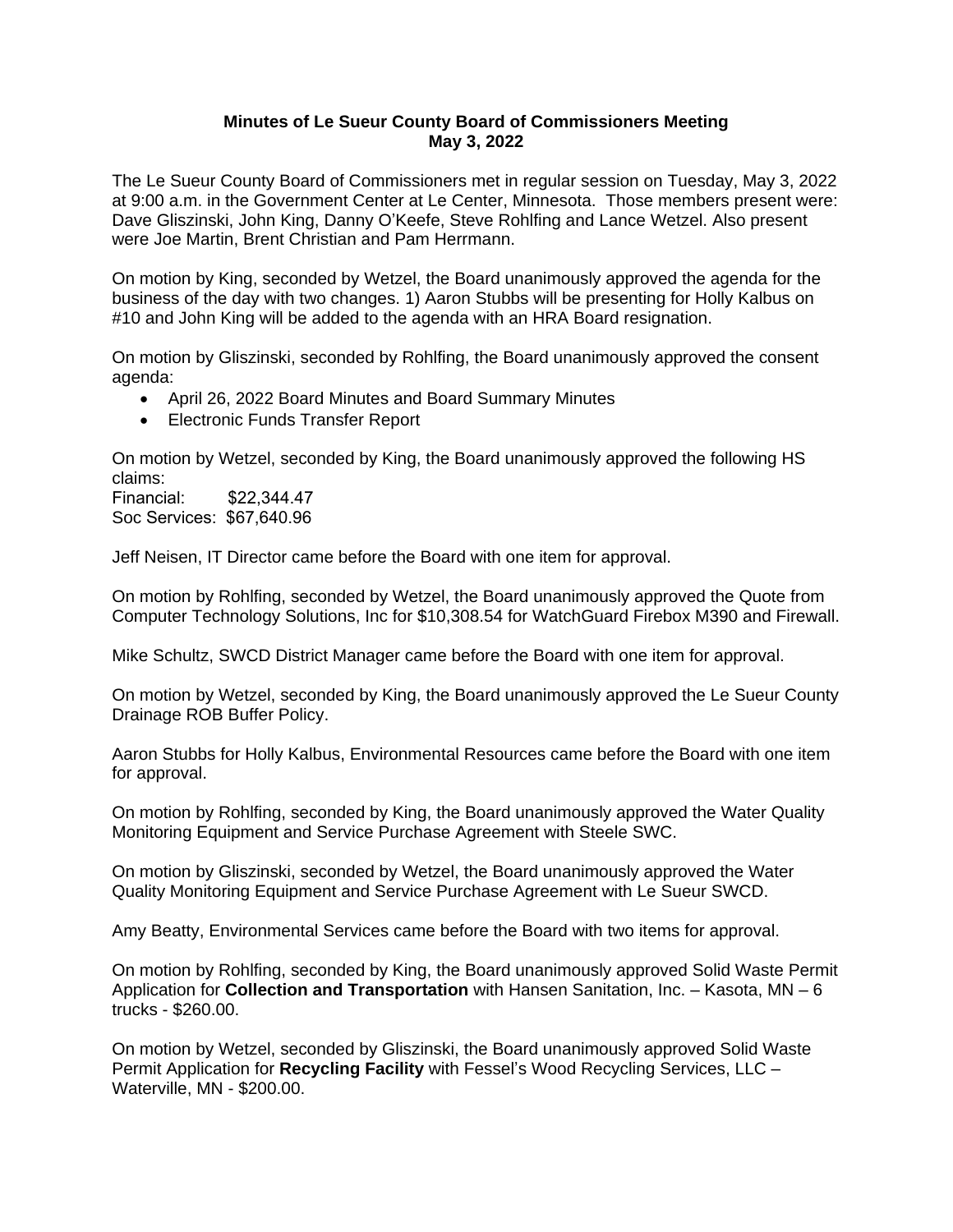## **Minutes of Le Sueur County Board of Commissioners Meeting May 3, 2022**

The Le Sueur County Board of Commissioners met in regular session on Tuesday, May 3, 2022 at 9:00 a.m. in the Government Center at Le Center, Minnesota. Those members present were: Dave Gliszinski, John King, Danny O'Keefe, Steve Rohlfing and Lance Wetzel. Also present were Joe Martin, Brent Christian and Pam Herrmann.

On motion by King, seconded by Wetzel, the Board unanimously approved the agenda for the business of the day with two changes. 1) Aaron Stubbs will be presenting for Holly Kalbus on #10 and John King will be added to the agenda with an HRA Board resignation.

On motion by Gliszinski, seconded by Rohlfing, the Board unanimously approved the consent agenda:

- April 26, 2022 Board Minutes and Board Summary Minutes
- Electronic Funds Transfer Report

On motion by Wetzel, seconded by King, the Board unanimously approved the following HS claims:

Financial: \$22,344.47 Soc Services: \$67,640.96

Jeff Neisen, IT Director came before the Board with one item for approval.

On motion by Rohlfing, seconded by Wetzel, the Board unanimously approved the Quote from Computer Technology Solutions, Inc for \$10,308.54 for WatchGuard Firebox M390 and Firewall.

Mike Schultz, SWCD District Manager came before the Board with one item for approval.

On motion by Wetzel, seconded by King, the Board unanimously approved the Le Sueur County Drainage ROB Buffer Policy.

Aaron Stubbs for Holly Kalbus, Environmental Resources came before the Board with one item for approval.

On motion by Rohlfing, seconded by King, the Board unanimously approved the Water Quality Monitoring Equipment and Service Purchase Agreement with Steele SWC.

On motion by Gliszinski, seconded by Wetzel, the Board unanimously approved the Water Quality Monitoring Equipment and Service Purchase Agreement with Le Sueur SWCD.

Amy Beatty, Environmental Services came before the Board with two items for approval.

On motion by Rohlfing, seconded by King, the Board unanimously approved Solid Waste Permit Application for **Collection and Transportation** with Hansen Sanitation, Inc. – Kasota, MN – 6 trucks - \$260.00.

On motion by Wetzel, seconded by Gliszinski, the Board unanimously approved Solid Waste Permit Application for **Recycling Facility** with Fessel's Wood Recycling Services, LLC – Waterville, MN - \$200.00.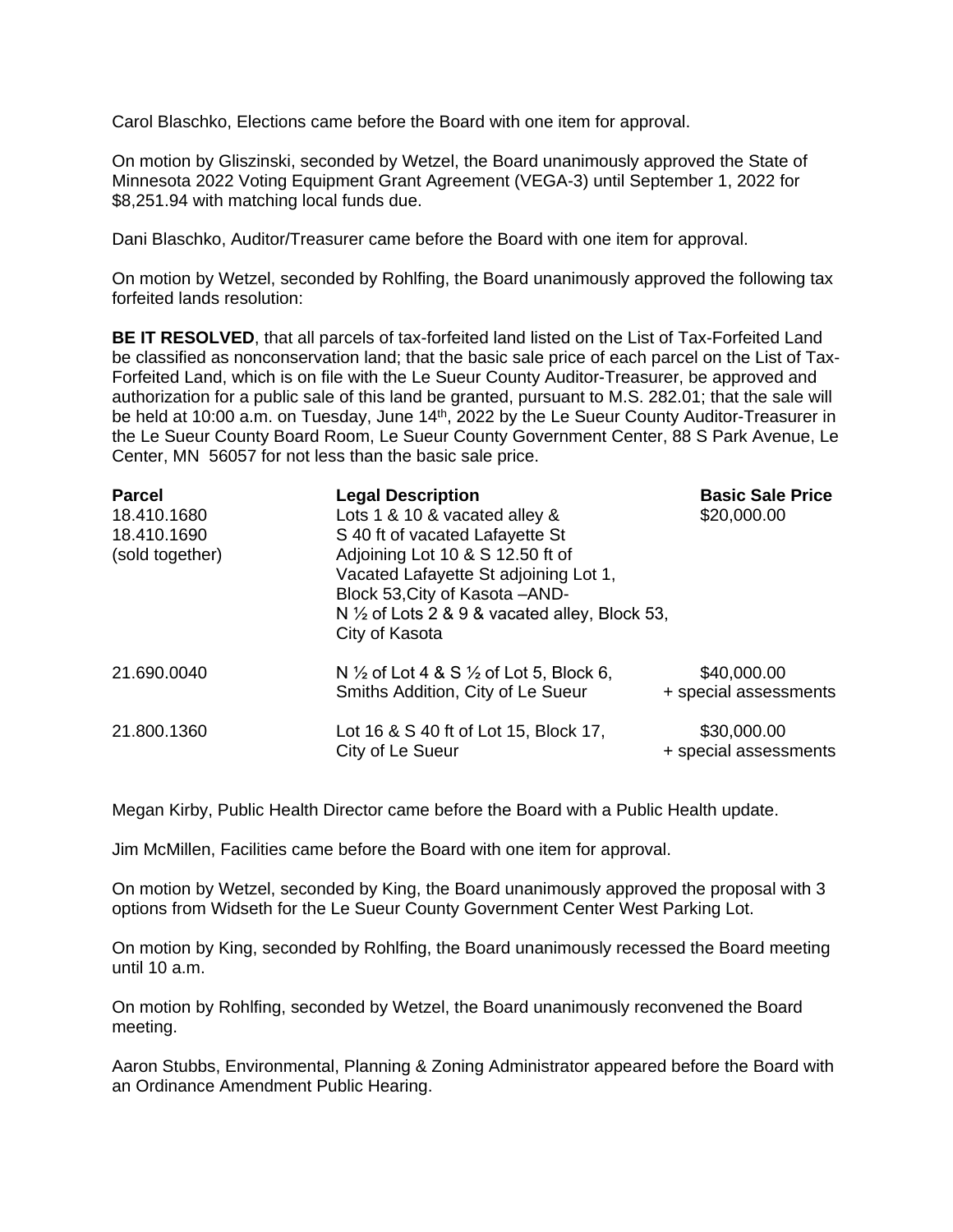Carol Blaschko, Elections came before the Board with one item for approval.

On motion by Gliszinski, seconded by Wetzel, the Board unanimously approved the State of Minnesota 2022 Voting Equipment Grant Agreement (VEGA-3) until September 1, 2022 for \$8,251.94 with matching local funds due.

Dani Blaschko, Auditor/Treasurer came before the Board with one item for approval.

On motion by Wetzel, seconded by Rohlfing, the Board unanimously approved the following tax forfeited lands resolution:

**BE IT RESOLVED**, that all parcels of tax-forfeited land listed on the List of Tax-Forfeited Land be classified as nonconservation land; that the basic sale price of each parcel on the List of Tax-Forfeited Land, which is on file with the Le Sueur County Auditor-Treasurer, be approved and authorization for a public sale of this land be granted, pursuant to M.S. 282.01; that the sale will be held at 10:00 a.m. on Tuesday, June 14<sup>th</sup>, 2022 by the Le Sueur County Auditor-Treasurer in the Le Sueur County Board Room, Le Sueur County Government Center, 88 S Park Avenue, Le Center, MN 56057 for not less than the basic sale price.

| <b>Parcel</b><br>18.410.1680<br>18.410.1690<br>(sold together) | <b>Legal Description</b><br>Lots 1 & 10 & vacated alley &<br>S 40 ft of vacated Lafayette St<br>Adjoining Lot 10 & S 12.50 ft of<br>Vacated Lafayette St adjoining Lot 1,<br>Block 53, City of Kasota - AND-<br>N $\frac{1}{2}$ of Lots 2 & 9 & vacated alley, Block 53,<br>City of Kasota | <b>Basic Sale Price</b><br>\$20,000.00 |
|----------------------------------------------------------------|--------------------------------------------------------------------------------------------------------------------------------------------------------------------------------------------------------------------------------------------------------------------------------------------|----------------------------------------|
| 21.690.0040                                                    | N $\frac{1}{2}$ of Lot 4 & S $\frac{1}{2}$ of Lot 5, Block 6,<br>Smiths Addition, City of Le Sueur                                                                                                                                                                                         | \$40,000.00<br>+ special assessments   |
| 21.800.1360                                                    | Lot 16 & S 40 ft of Lot 15, Block 17,<br>City of Le Sueur                                                                                                                                                                                                                                  | \$30,000.00<br>+ special assessments   |

Megan Kirby, Public Health Director came before the Board with a Public Health update.

Jim McMillen, Facilities came before the Board with one item for approval.

On motion by Wetzel, seconded by King, the Board unanimously approved the proposal with 3 options from Widseth for the Le Sueur County Government Center West Parking Lot.

On motion by King, seconded by Rohlfing, the Board unanimously recessed the Board meeting until 10 a.m.

On motion by Rohlfing, seconded by Wetzel, the Board unanimously reconvened the Board meeting.

Aaron Stubbs, Environmental, Planning & Zoning Administrator appeared before the Board with an Ordinance Amendment Public Hearing.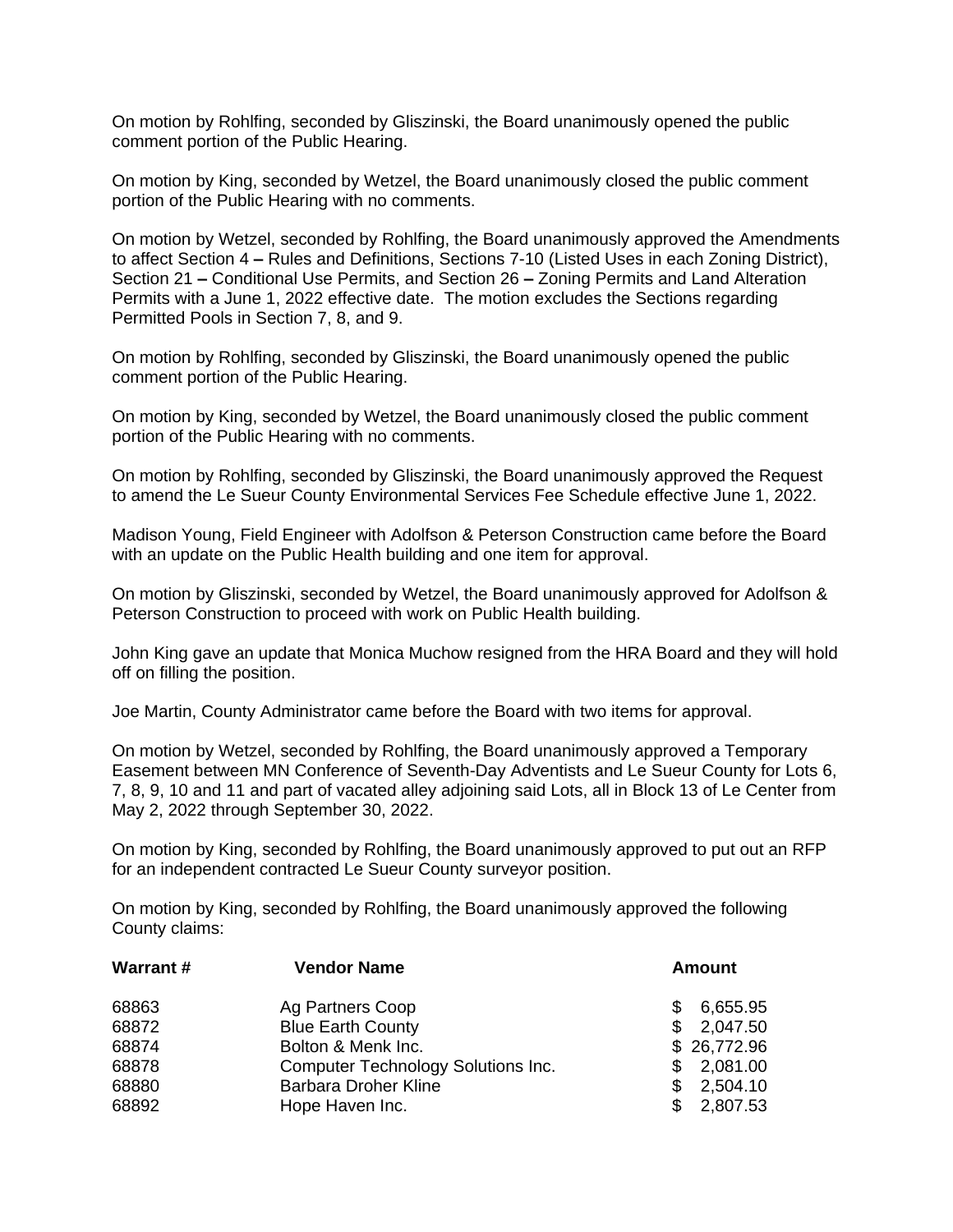On motion by Rohlfing, seconded by Gliszinski, the Board unanimously opened the public comment portion of the Public Hearing.

On motion by King, seconded by Wetzel, the Board unanimously closed the public comment portion of the Public Hearing with no comments.

On motion by Wetzel, seconded by Rohlfing, the Board unanimously approved the Amendments to affect Section 4 **–** Rules and Definitions, Sections 7-10 (Listed Uses in each Zoning District), Section 21 **–** Conditional Use Permits, and Section 26 **–** Zoning Permits and Land Alteration Permits with a June 1, 2022 effective date. The motion excludes the Sections regarding Permitted Pools in Section 7, 8, and 9.

On motion by Rohlfing, seconded by Gliszinski, the Board unanimously opened the public comment portion of the Public Hearing.

On motion by King, seconded by Wetzel, the Board unanimously closed the public comment portion of the Public Hearing with no comments.

On motion by Rohlfing, seconded by Gliszinski, the Board unanimously approved the Request to amend the Le Sueur County Environmental Services Fee Schedule effective June 1, 2022.

Madison Young, Field Engineer with Adolfson & Peterson Construction came before the Board with an update on the Public Health building and one item for approval.

On motion by Gliszinski, seconded by Wetzel, the Board unanimously approved for Adolfson & Peterson Construction to proceed with work on Public Health building.

John King gave an update that Monica Muchow resigned from the HRA Board and they will hold off on filling the position.

Joe Martin, County Administrator came before the Board with two items for approval.

On motion by Wetzel, seconded by Rohlfing, the Board unanimously approved a Temporary Easement between MN Conference of Seventh-Day Adventists and Le Sueur County for Lots 6, 7, 8, 9, 10 and 11 and part of vacated alley adjoining said Lots, all in Block 13 of Le Center from May 2, 2022 through September 30, 2022.

On motion by King, seconded by Rohlfing, the Board unanimously approved to put out an RFP for an independent contracted Le Sueur County surveyor position.

On motion by King, seconded by Rohlfing, the Board unanimously approved the following County claims:

| <b>Amount</b> |
|---------------|
| 6,655.95      |
| 2,047.50      |
| \$26,772.96   |
| 2,081.00      |
| 2,504.10      |
| 2,807.53      |
|               |